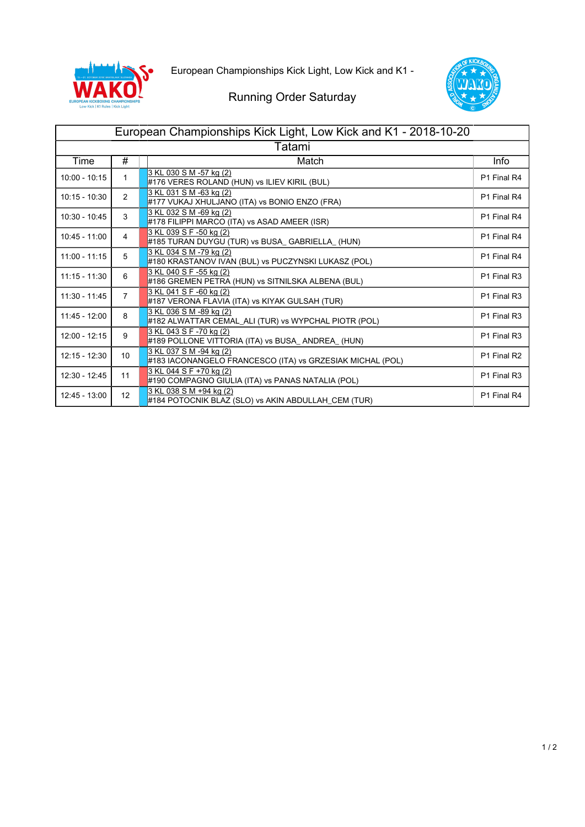



## Running Order Saturday

| European Championships Kick Light, Low Kick and K1 - 2018-10-20 |                |                                                                                      |             |  |  |  |
|-----------------------------------------------------------------|----------------|--------------------------------------------------------------------------------------|-------------|--|--|--|
| Tatami                                                          |                |                                                                                      |             |  |  |  |
| Time                                                            | #              | Match                                                                                | <b>Info</b> |  |  |  |
| $10:00 - 10:15$                                                 | 1              | 3 KL 030 S M -57 kg (2)<br>#176 VERES ROLAND (HUN) vs ILIEV KIRIL (BUL)              | P1 Final R4 |  |  |  |
| $10:15 - 10:30$                                                 | 2              | 3 KL 031 S M -63 kg (2)<br>#177 VUKAJ XHULJANO (ITA) vs BONIO ENZO (FRA)             | P1 Final R4 |  |  |  |
| $10:30 - 10:45$                                                 | 3              | 3 KL 032 S M -69 kg (2)<br>#178 FILIPPI MARCO (ITA) vs ASAD AMEER (ISR)              | P1 Final R4 |  |  |  |
| $10:45 - 11:00$                                                 | 4              | 3 KL 039 S F -50 kg (2)<br>#185 TURAN DUYGU (TUR) vs BUSA_GABRIELLA_(HUN)            | P1 Final R4 |  |  |  |
| $11:00 - 11:15$                                                 | 5              | 3 KL 034 S M -79 kg (2)<br>#180 KRASTANOV IVAN (BUL) vs PUCZYNSKI LUKASZ (POL)       | P1 Final R4 |  |  |  |
| $11:15 - 11:30$                                                 | 6              | 3 KL 040 S F -55 kg (2)<br>#186 GREMEN PETRA (HUN) vs SITNILSKA ALBENA (BUL)         | P1 Final R3 |  |  |  |
| $11:30 - 11:45$                                                 | $\overline{7}$ | 3 KL 041 S F -60 kg (2)<br>#187 VERONA FLAVIA (ITA) vs KIYAK GULSAH (TUR)            | P1 Final R3 |  |  |  |
| 11:45 - 12:00                                                   | 8              | 3 KL 036 S M -89 kg (2)<br>#182 ALWATTAR CEMAL_ALI (TUR) vs WYPCHAL PIOTR (POL)      | P1 Final R3 |  |  |  |
| $12:00 - 12:15$                                                 | 9              | 3 KL 043 S F -70 kg (2)<br>#189 POLLONE VITTORIA (ITA) vs BUSA_ANDREA_ (HUN)         | P1 Final R3 |  |  |  |
| 12:15 - 12:30                                                   | 10             | 3 KL 037 S M -94 kg (2)<br>#183 IACONANGELO FRANCESCO (ITA) vs GRZESIAK MICHAL (POL) | P1 Final R2 |  |  |  |
| 12:30 - 12:45                                                   | 11             | 3 KL 044 S F +70 kg (2)<br>#190 COMPAGNO GIULIA (ITA) vs PANAS NATALIA (POL)         | P1 Final R3 |  |  |  |
| 12:45 - 13:00                                                   | 12             | 3 KL 038 S M +94 kg (2)<br>#184 POTOCNIK BLAZ (SLO) vs AKIN ABDULLAH_CEM (TUR)       | P1 Final R4 |  |  |  |